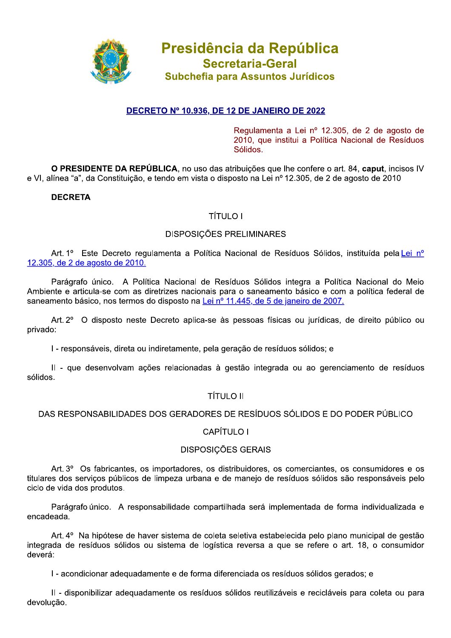

# <u>DECRETO Nº 10.936, DE 12 DE JANEIRO DE 2022</u>

Regulamenta a Lei nº 12.305, de 2 de agosto de 2010, que institui a Política Nacional de Resíduos Sólidos.

O PRESIDENTE DA REPUBLICA, no uso das atribuições que ine confere o art. 84, caput, incisos IV e VI, alínea "a", da Constituição, e tendo em vista o disposto na Lei nº 12.305, de 2 de agosto de 2010

# **DECRETA**

# TÍTULO I

### DISPOSIÇÕES PRELIMINARES

Art. 1º Este Decreto regulamenta a Política Nacional de Resíduos Sólidos, instituída pela Lei nº 12.305, de 2 de agosto de 2010.

Parágrafo único. A Política Nacional de Resíduos Sólidos integra a Política Nacional do Meio Ambiente e articula-se com as diretrizes nacionais para o saneamento básico e com a política federal de saneamento básico, nos termos do disposto na Lei nº 11.445, de 5 de janeiro de 2007.

Art. 2° O disposto neste Decreto aplica-se às pessoas físicas ou jurídicas, de direito público ou privado:

 $\mathsf I$  - responsáveis, direta ou indiretamente, pela geração de resíduos sólidos; e

II - que desenvolvam ações relacionadas à gestão integrada ou ao gerenciamento de resíduos sólidos.

# TÍTULO II

# DAS RESPONSABILIDADES DOS GERADORES DE RESÍDUOS SÓLIDOS E DO PODER PÚBLICO

# CAPÍTULO I

# DISPOSIÇÕES GERAIS

Art. 3<sup>o</sup> Os fabricantes, os importadores, os distribuidores, os comerciantes, os consumidores e os titulares dos serviços públicos de limpeza urbana e de manejo de resíduos sólidos são responsáveis pelo ciclo de vida dos produtos.

Parágrafo único. A responsabilidade compartilhada será implementada de forma individualizada e encadeada.

Art, 4° Na hipótese de haver sistema de coleta seletiva estabelecida pelo plano municipal de gestão integrada de resíduos sólidos ou sistema de logística reversa a que se refere o art. 18, o consumidor<br>deverá:

I - acondicionar adequadamente e de forma diferenciada os resíduos sólidos gerados; e

II - disponibilizar adequadamente os resíduos sólidos reutilizáveis e recicláveis para coleta ou para devolução.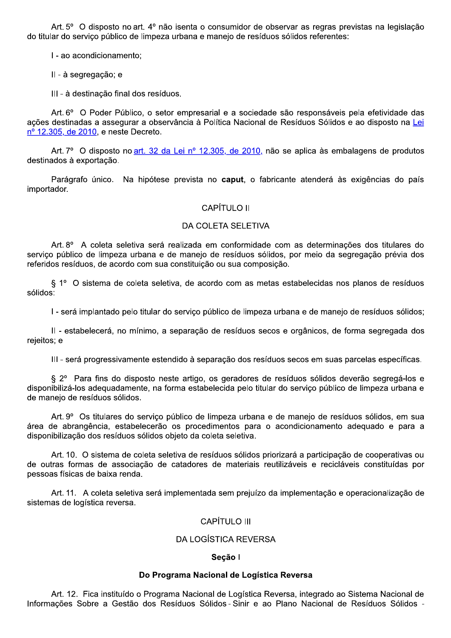Art. 5° O disposto no art. 4° não isenta o consumidor de observar as regras previstas na legislação do titular do servico público de limpeza urbana e manejo de resíduos sólidos referentes:

I - ao acondicionamento:

II - à segregação; e

III - à destinação final dos resíduos.

Art. 6° O Poder Público, o setor empresarial e a sociedade são responsáveis pela efetividade das ações destinadas a assegurar a observância à Política Nacional de Resíduos Sólidos e ao disposto na Lei nº 12.305, de 2010, e neste Decreto.

Art. 7º O disposto no art. 32 da Lei nº 12.305, de 2010, não se aplica às embalagens de produtos destinados à exportação.

Parágrafo único. Na hipótese prevista no caput, o fabricante atenderá às exigências do país importador.

#### **CAPÍTULO II**

#### DA COLETA SELETIVA

Art. 8º A coleta seletiva será realizada em conformidade com as determinações dos titulares do serviço público de limpeza urbana e de manejo de resíduos sólidos, por meio da segregação prévia dos referidos resíduos, de acordo com sua constituição ou sua composição.

§ 1° O sistema de coleta seletiva, de acordo com as metas estabelecidas nos planos de resíduos sólidos:

I - será implantado pelo titular do serviço público de limpeza urbana e de manejo de resíduos sólidos;

II - estabelecerá, no mínimo, a separação de resíduos secos e orgânicos, de forma segregada dos rejeitos; e

III - será progressivamente estendido à separação dos resíduos secos em suas parcelas específicas.

§ 2º Para fins do disposto neste artigo, os geradores de resíduos sólidos deverão segregá-los e disponibilizá-los adequadamente, na forma estabelecida pelo titular do serviço público de limpeza urbana e de manejo de resíduos sólidos.

Art. 9° Os titulares do servico público de limpeza urbana e de manejo de resíduos sólidos, em sua área de abrangência, estabelecerão os procedimentos para o acondicionamento adequado e para a disponibilização dos resíduos sólidos objeto da coleta seletiva.

Art. 10. O sistema de coleta seletiva de resíduos sólidos priorizará a participação de cooperativas ou de outras formas de associação de catadores de materiais reutilizáveis e recicláveis constituídas por pessoas físicas de baixa renda.

Art. 11. A coleta seletiva será implementada sem prejuízo da implementação e operacionalização de sistemas de logística reversa.

#### CAPÍTULO III

#### **DA LOGÍSTICA REVERSA**

#### Seção I

#### Do Programa Nacional de Logística Reversa

Art. 12. Fica instituído o Programa Nacional de Logística Reversa, integrado ao Sistema Nacional de Informações Sobre a Gestão dos Resíduos Sólidos - Sinir e ao Plano Nacional de Resíduos Sólidos -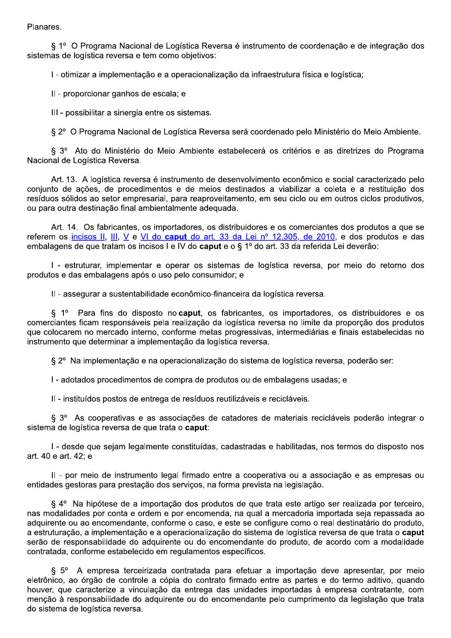Planares.

§ 1º O Programa Nacional de Logística Reversa é instrumento de coordenação e de integração dos sistemas de logística reversa e tem como obietivos:

I - otimizar a implementação e a operacionalização da infraestrutura física e logística;

II - proporcionar ganhos de escala; e

III - possibilitar a sinergia entre os sistemas.

§ 2º O Programa Nacional de Logística Reversa será coordenado pelo Ministério do Meio Ambiente.

§ 3º Ato do Ministério do Meio Ambiente estabelecerá os critérios e as diretrizes do Programa Nacional de Logística Reversa.

Art. 13. A logística reversa é instrumento de desenvolvimento econômico e social caracterizado pelo conjunto de ações, de procedimentos e de mejos destinados a viabilizar a coleta e a restituição dos resíduos sólidos ao setor empresarial, para reaproveitamento, em seu ciclo ou em outros ciclos produtivos, ou para outra destinação final ambientalmente adequada.

Art. 14. Os fabricantes, os importadores, os distribuidores e os comerciantes dos produtos a que se referem os incisos II. III. V e VI do caput do art. 33 da Lei nº 12.305, de 2010, e dos produtos e das embalagens de que tratam os incisos I e IV do **caput** e o § 1º do art. 33 da referida Lei deverão:

I - estruturar, implementar e operar os sistemas de logística reversa, por meio do retorno dos produtos e das embalagens após o uso pelo consumidor; e

Il - assegurar a sustentabilidade econômico-financeira da logística reversa.

§ 1º Para fins do disposto no caput, os fabricantes, os importadores, os distribuidores e os comerciantes ficam responsáveis pela realização da logística reversa no limite da proporção dos produtos que colocarem no mercado interno, conforme metas progressivas, intermediárias e finais estabelecidas no instrumento que determinar a implementação da logística reversa.

§ 2º Na implementação e na operacionalização do sistema de logística reversa, poderão ser:

I - adotados procedimentos de compra de produtos ou de embalagens usadas; e

II - instituídos postos de entrega de resíduos reutilizáveis e recicláveis.

§ 3º As cooperativas e as associações de catadores de materiais recicláveis poderão integrar o sistema de logística reversa de que trata o caput:

I - desde que sejam legalmente constituídas, cadastradas e habilitadas, nos termos do disposto nos art. 40 e art. 42; e

II - por meio de instrumento legal firmado entre a cooperativa ou a associação e as empresas ou entidades gestoras para prestação dos serviços, na forma prevista na legislação.

§ 4° Na hipótese de a importação dos produtos de que trata este artigo ser realizada por terceiro. nas modalidades por conta e ordem e por encomenda, na qual a mercadoria importada seja repassada ao adquirente ou ao encomendante, conforme o caso, e este se configure como o real destinatário do produto, a estruturação, a implementação e a operacionalização do sistema de logística reversa de que trata o caput serão de responsabilidade do adquirente ou do encomendante do produto, de acordo com a modalidade contratada, conforme estabelecido em regulamentos específicos.

§ 5° A empresa terceirizada contratada para efetuar a importação deve apresentar, por meio eletrônico, ao órgão de controle a cópia do contrato firmado entre as partes e do termo aditivo, quando houver, que caracterize a vinculação da entrega das unidades importadas à empresa contratante, com menção à responsabilidade do adquirente ou do encomendante pelo cumprimento da legislação que trata do sistema de logística reversa.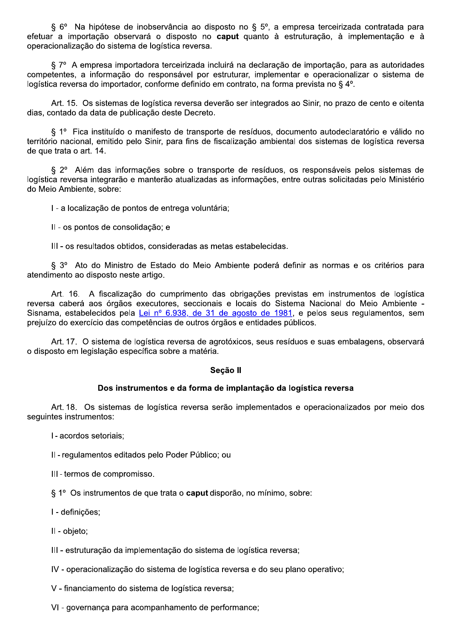§ 6° Na hipótese de inobservância ao disposto no § 5°, a empresa terceirizada contratada para efetuar a importação observará o disposto no caput quanto à estruturação, à implementação e à operacionalização do sistema de logística reversa.

§ 7º A empresa importadora terceirizada incluirá na declaração de importação, para as autoridades competentes, a informação do responsável por estruturar, implementar e operacionalizar o sistema de logística reversa do importador, conforme definido em contrato, na forma prevista no § 4°.

Art. 15. Os sistemas de logística reversa deverão ser integrados ao Sinir, no prazo de cento e oitenta dias, contado da data de publicação deste Decreto.

§ 1º Fica instituído o manifesto de transporte de resíduos, documento autodeclaratório e válido no território nacional, emitido pelo Sinir, para fins de fiscalização ambiental dos sistemas de logística reversa de que trata o art. 14.

§ 2<sup>o</sup> Além das informações sobre o transporte de resíduos, os responsáveis pelos sistemas de logística reversa integrarão e manterão atualizadas as informações, entre outras solicitadas pelo Ministério do Meio Ambiente, sobre:

I - a localização de pontos de entrega voluntária;

II - os pontos de consolidação; e

III - os resultados obtidos, consideradas as metas estabelecidas.

§ 3º Ato do Ministro de Estado do Meio Ambiente poderá definir as normas e os critérios para atendimento ao disposto neste artigo.

Art. 16. A fiscalização do cumprimento das obrigações previstas em instrumentos de logística reversa caberá aos órgãos executores, seccionais e locais do Sistema Nacional do Meio Ambiente -Sisnama, estabelecidos pela Lei nº 6.938, de 31 de agosto de 1981, e pelos seus regulamentos, sem prejuízo do exercício das competências de outros órgãos e entidades públicos.

Art. 17. O sistema de logística reversa de agrotóxicos, seus resíduos e suas embalagens, observará o disposto em legislação específica sobre a matéria.

#### Secão II

# Dos instrumentos e da forma de implantação da logística reversa

Art. 18. Os sistemas de logística reversa serão implementados e operacionalizados por meio dos sequintes instrumentos:

I - acordos setoriais:

II - regulamentos editados pelo Poder Público; ou

III - termos de compromisso.

§ 1º Os instrumentos de que trata o caput disporão, no mínimo, sobre:

I - definicões:

II - objeto;

III - estruturação da implementação do sistema de logística reversa;

IV - operacionalização do sistema de logística reversa e do seu plano operativo;

V - financiamento do sistema de logística reversa;

VI - governança para acompanhamento de performance;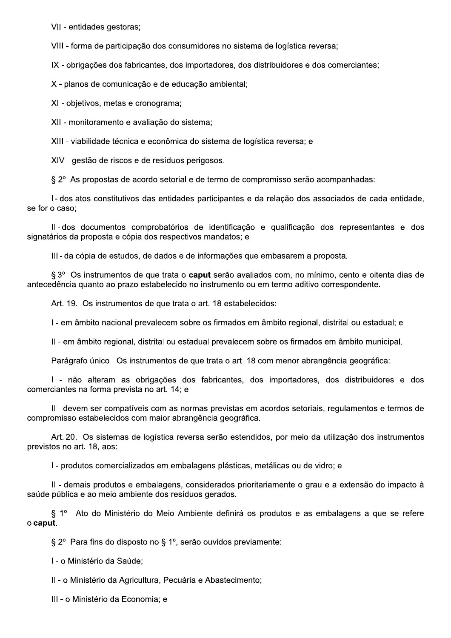VII - entidades gestoras;

VIII - forma de participação dos consumidores no sistema de logística reversa;

IX - obrigações dos fabricantes, dos importadores, dos distribuidores e dos comerciantes;

X - planos de comunicação e de educação ambiental;

XI - objetivos, metas e cronograma;

XII - monitoramento e avaliação do sistema;

XIII - viabilidade técnica e econômica do sistema de logística reversa; e

XIV - gestão de riscos e de resíduos perigosos.

§ 2º As propostas de acordo setorial e de termo de compromisso serão acompanhadas:

I-dos atos constitutivos das entidades participantes e da relação dos associados de cada entidade, se for o caso:

II-dos documentos comprobatórios de identificação e qualificação dos representantes e dos signatários da proposta e cópia dos respectivos mandatos: e

III-da cópia de estudos, de dados e de informações que embasarem a proposta.

§ 3º Os instrumentos de que trata o caput serão avaliados com, no mínimo, cento e oitenta dias de antecedência quanto ao prazo estabelecido no instrumento ou em termo aditivo correspondente.

Art. 19. Os instrumentos de que trata o art. 18 estabelecidos:

I - em âmbito nacional prevalecem sobre os firmados em âmbito regional, distrital ou estadual; e

II - em âmbito regional, distrital ou estadual prevalecem sobre os firmados em âmbito municipal.

Parágrafo único. Os instrumentos de que trata o art. 18 com menor abrangência geográfica:

I - não alteram as obrigações dos fabricantes, dos importadores, dos distribuidores e dos comerciantes na forma prevista no art. 14; e

II - devem ser compatíveis com as normas previstas em acordos setoriais, regulamentos e termos de compromisso estabelecidos com maior abrangência geográfica.

Art. 20. Os sistemas de logística reversa serão estendidos, por meio da utilização dos instrumentos previstos no art. 18, aos:

I - produtos comercializados em embalagens plásticas, metálicas ou de vidro; e

Il - demais produtos e embalagens, considerados prioritariamente o grau e a extensão do impacto à saúde pública e ao meio ambiente dos resíduos gerados.

§ 1º Ato do Ministério do Meio Ambiente definirá os produtos e as embalagens a que se refere o caput.

§ 2° Para fins do disposto no § 1°, serão ouvidos previamente:

I - o Ministério da Saúde:

II - o Ministério da Agricultura, Pecuária e Abastecimento;

III - o Ministério da Economia; e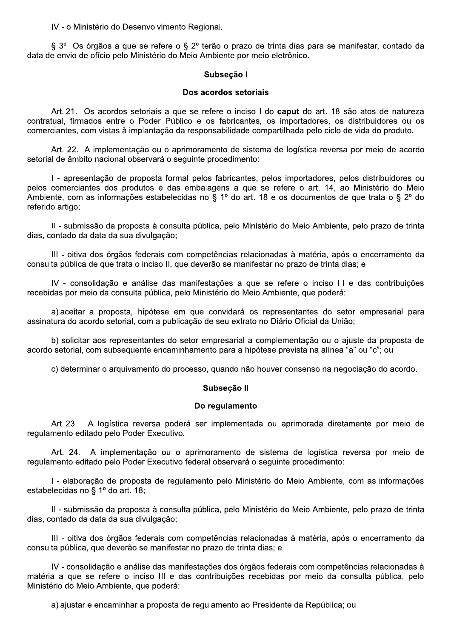IV - o Ministério do Desenvolvimento Regional.

§ 3° Os órgãos a que se refere o § 2° terão o prazo de trinta dias para se manifestar, contado da data de envio de ofício pelo Ministério do Meio Ambiente por meio eletrônico.

# Subseção I

#### Dos acordos setoriais

Art. 21. Os acordos setoriais a que se refere o inciso I do caput do art. 18 são atos de natureza contratual, firmados entre o Poder Público e os fabricantes, os importadores, os distribuidores ou os comerciantes, com vistas à implantação da responsabilidade compartilhada pelo ciclo de vida do produto.

Art. 22. A implementação ou o aprimoramento de sistema de logística reversa por meio de acordo setorial de âmbito nacional observará o seguinte procedimento:

I - apresentação de proposta formal pelos fabricantes, pelos importadores, pelos distribuidores ou pelos comerciantes dos produtos e das embalagens a que se refere o art. 14, ao Ministério do Meio Ambiente, com as informações estabelecidas no § 1º do art. 18 e os documentos de que trata o § 2º do referido artigo;

II - submissão da proposta à consulta pública, pelo Ministério do Meio Ambiente, pelo prazo de trinta dias, contado da data da sua divulgação;

III - oitiva dos órgãos federais com competências relacionadas à matéria, após o encerramento da consulta pública de que trata o inciso II, que deverão se manifestar no prazo de trinta dias: e

IV - consolidação e análise das manifestações a que se refere o inciso III e das contribuições recebidas por meio da consulta pública, pelo Ministério do Meio Ambiente, que poderá:

a) aceitar a proposta, hipótese em que convidará os representantes do setor empresarial para assinatura do acordo setorial, com a publicação de seu extrato no Diário Oficial da União:

b) solicitar aos representantes do setor empresarial a complementação ou o ajuste da proposta de acordo setorial, com subsequente encaminhamento para a hipótese prevista na alínea "a" ou "c"; ou

c) determinar o arquivamento do processo, quando não houver consenso na negociação do acordo.

# Subseção II

#### Do regulamento

Art. 23. A logística reversa poderá ser implementada ou aprimorada diretamente por meio de regulamento editado pelo Poder Executivo.

Art. 24. A implementação ou o aprimoramento de sistema de logística reversa por meio de regulamento editado pelo Poder Executivo federal observará o seguinte procedimento:

I - elaboração de proposta de regulamento pelo Ministério do Meio Ambiente, com as informações estabelecidas no § 1º do art. 18;

Il - submissão da proposta à consulta pública, pelo Ministério do Meio Ambiente, pelo prazo de trinta dias, contado da data da sua divulgação:

III - oitiva dos órgãos federais com competências relacionadas à matéria, após o encerramento da consulta pública, que deverão se manifestar no prazo de trinta dias; e

IV - consolidação e análise das manifestações dos órgãos federais com competências relacionadas à matéria a que se refere o inciso III e das contribuicões recebidas por meio da consulta pública, pelo Ministério do Meio Ambiente, que poderá:

a) ajustar e encaminhar a proposta de regulamento ao Presidente da República; ou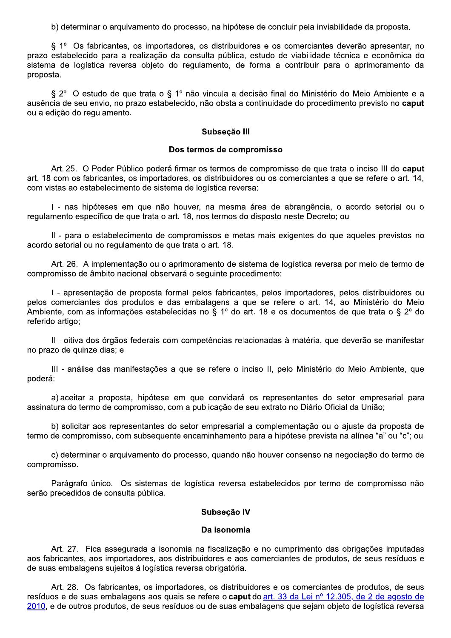b) determinar o arquivamento do processo, na hipótese de concluir pela inviabilidade da proposta.

§ 1º Os fabricantes, os importadores, os distribuidores e os comerciantes deverão apresentar, no prazo estabelecido para a realização da consulta pública, estudo de viabilidade técnica e econômica do sistema de logística reversa objeto do regulamento, de forma a contribuir para o aprimoramento da proposta.

§ 2º O estudo de que trata o § 1º não vincula a decisão final do Ministério do Meio Ambiente e a ausência de seu envio, no prazo estabelecido, não obsta a continuidade do procedimento previsto no caput ou a edição do regulamento.

#### Subseção III

#### Dos termos de compromisso

Art. 25. O Poder Público poderá firmar os termos de compromisso de que trata o inciso III do caput art. 18 com os fabricantes, os importadores, os distribuidores ou os comerciantes a que se refere o art. 14, com vistas ao estabelecimento de sistema de logística reversa:

I - nas hipóteses em que não houver, na mesma área de abrangência, o acordo setorial ou o regulamento específico de que trata o art. 18, nos termos do disposto neste Decreto; ou

II - para o estabelecimento de compromissos e metas mais exigentes do que aqueles previstos no acordo setorial ou no regulamento de que trata o art. 18.

Art. 26. A implementação ou o aprimoramento de sistema de logística reversa por meio de termo de compromisso de âmbito nacional observará o seguinte procedimento:

I - apresentação de proposta formal pelos fabricantes, pelos importadores, pelos distribuidores ou pelos comerciantes dos produtos e das embalagens a que se refere o art. 14, ao Ministério do Meio Ambiente, com as informações estabelecidas no § 1º do art. 18 e os documentos de que trata o § 2º do referido artigo:

Il - oitiva dos órgãos federais com competências relacionadas à matéria, que deverão se manifestar no prazo de quinze dias; e

III - análise das manifestações a que se refere o inciso II, pelo Ministério do Meio Ambiente, que poderá:

a) aceitar a proposta, hipótese em que convidará os representantes do setor empresarial para assinatura do termo de compromisso, com a publicação de seu extrato no Diário Oficial da União;

b) solicitar aos representantes do setor empresarial a complementação ou o ajuste da proposta de termo de compromisso, com subsequente encaminhamento para a hipótese prevista na alínea "a" ou "c"; ou

c) determinar o arquivamento do processo, quando não houver consenso na negociação do termo de compromisso.

Parágrafo único. Os sistemas de logística reversa estabelecidos por termo de compromisso não serão precedidos de consulta pública.

#### Subsecão IV

#### Da isonomia

Art. 27. Fica assegurada a isonomia na fiscalização e no cumprimento das obrigações imputadas aos fabricantes, aos importadores, aos distribuidores e aos comerciantes de produtos, de seus resíduos e de suas embalagens sujeitos à logística reversa obrigatória.

Art. 28. Os fabricantes, os importadores, os distribuidores e os comerciantes de produtos, de seus resíduos e de suas embalagens aos quais se refere o caput do art. 33 da Lei nº 12.305, de 2 de agosto de 2010, e de outros produtos, de seus resíduos ou de suas embalagens que sejam objeto de logística reversa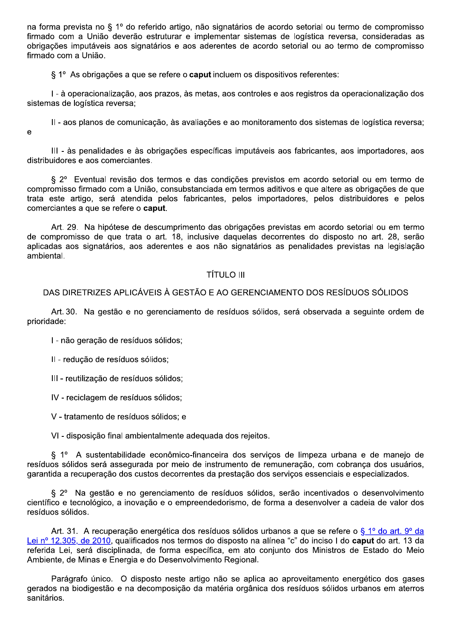na forma prevista no § 1º do referido artigo, não signatários de acordo setorial ou termo de compromisso firmado com a União deverão estruturar e implementar sistemas de logística reversa, consideradas as obrigações imputáveis aos signatários e aos aderentes de acordo setorial ou ao termo de compromisso firmado com a União.

§ 1° As obrigações a que se refere o **caput** incluem os dispositivos referentes:

I - à operacionalização, aos prazos, às metas, aos controles e aos registros da operacionalização dos sistemas de logística reversa;

II - aos planos de comunicação, às avaliações e ao monitoramento dos sistemas de logística reversa; e

III - às penalidades e às obrigações específicas imputáveis aos fabricantes, aos importadores, aos distribuidores e aos comerciantes.

§ 2º Eventual revisão dos termos e das condições previstos em acordo setorial ou em termo de compromisso firmado com a União, consubstanciada em termos aditivos e que altere as obrigações de que trata este artigo, será atendida pelos fabricantes, pelos importadores, pelos distribuidores e pelos comerciantes a que se refere o caput.

Art. 29. Na hipótese de descumprimento das obrigações previstas em acordo setorial ou em termo de compromisso de que trata o art. 18. inclusive daquelas decorrentes do disposto no art. 28. serão aplicadas aos signatários, aos aderentes e aos não signatários as penalidades previstas na legislação ambiental

# **TÍTULO III**

# DAS DIRETRIZES APLICÁVEIS À GESTÃO E AO GERENCIAMENTO DOS RESÍDUOS SÓLIDOS

Art. 30. Na gestão e no gerenciamento de resíduos sólidos, será observada a seguinte ordem de prioridade:

I - não geração de resíduos sólidos;

II - redução de resíduos sólidos;

III - reutilização de resíduos sólidos;

IV - reciclagem de resíduos sólidos;

V - tratamento de resíduos sólidos; e

VI - disposição final ambientalmente adequada dos rejeitos.

§ 1º A sustentabilidade econômico-financeira dos servicos de limpeza urbana e de maneio de resíduos sólidos será assegurada por meio de instrumento de remuneração, com cobrança dos usuários, garantida a recuperação dos custos decorrentes da prestação dos servicos essenciais e especializados.

§ 2º Na gestão e no gerenciamento de resíduos sólidos, serão incentivados o desenvolvimento científico e tecnológico, a inovação e o empreendedorismo, de forma a desenvolver a cadeia de valor dos resíduos sólidos.

Art. 31. A recuperação energética dos resíduos sólidos urbanos a que se refere o § 1º do art. 9º da Lei nº 12.305, de 2010, qualificados nos termos do disposto na alínea "c" do inciso I do caput do art. 13 da referida Lei, será disciplinada, de forma específica, em ato conjunto dos Ministros de Estado do Meio Ambiente, de Minas e Energia e do Desenvolvimento Regional.

Parágrafo único. O disposto neste artigo não se aplica ao aproveitamento energético dos gases gerados na biodigestão e na decomposição da matéria orgânica dos resíduos sólidos urbanos em aterros sanitários.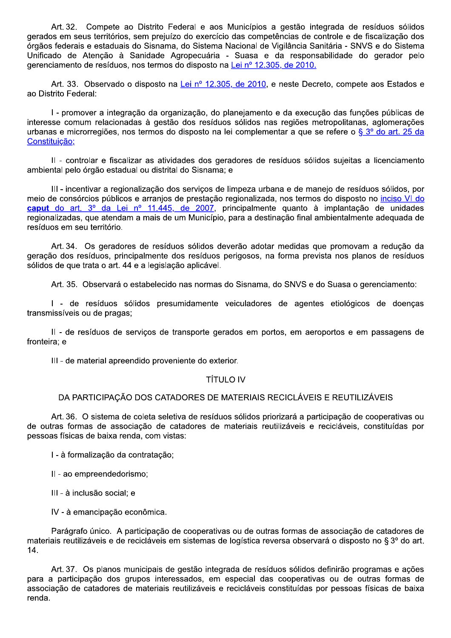Art. 32. Compete ao Distrito Federal e aos Municípios a gestão integrada de resíduos sólidos gerados em seus territórios, sem prejuízo do exercício das competências de controle e de fiscalização dos órgãos federais e estaduais do Sisnama, do Sistema Nacional de Vigilância Sanitária - SNVS e do Sistema Unificado de Atenção à Sanidade Agropecuária - Suasa e da responsabilidade do gerador pelo gerenciamento de resíduos, nos termos do disposto na Lei nº 12.305, de 2010.

Art. 33. Observado o disposto na Lei nº 12.305, de 2010, e neste Decreto, compete aos Estados e ao Distrito Federal:

I - promover a integração da organização, do planejamento e da execução das funções públicas de interesse comum relacionadas à gestão dos resíduos sólidos nas regiões metropolitanas, aglomerações urbanas e microrregiões, nos termos do disposto na lei complementar a que se refere o §  $3^{\circ}$  do art. 25 da Constituição;

Il - controlar e fiscalizar as atividades dos geradores de resíduos sólidos sujeitas a licenciamento ambiental pelo órgão estadual ou distrital do Sisnama; e

III - incentivar a regionalização dos servicos de limpeza urbana e de maneio de resíduos sólidos, por meio de consórcios públicos e arranjos de prestação regionalizada, nos termos do disposto no inciso VI do caput do art. 3º da Lei nº 11.445, de 2007, principalmente quanto à implantação de unidades regionalizadas, que atendam a mais de um Município, para a destinação final ambientalmente adequada de resíduos em seu território.

Art. 34. Os geradores de resíduos sólidos deverão adotar medidas que promovam a redução da geração dos resíduos, principalmente dos resíduos perigosos, na forma prevista nos planos de resíduos sólidos de que trata o art. 44 e a legislação aplicável.

Art. 35. Observará o estabelecido nas normas do Sisnama, do SNVS e do Suasa o gerenciamento:

I - de resíduos sólidos presumidamente veiculadores de agentes etiológicos de doencas transmissíveis ou de pragas;

II - de resíduos de serviços de transporte gerados em portos, em aeroportos e em passagens de fronteira; e

III - de material apreendido proveniente do exterior.

# **TÍTULO IV**

# DA PARTICIPAÇÃO DOS CATADORES DE MATERIAIS RECICLÁVEIS E REUTILIZÁVEIS

Art. 36. O sistema de coleta seletiva de resíduos sólidos priorizará a participação de cooperativas ou de outras formas de associação de catadores de materiais reutilizáveis e recicláveis, constituídas por pessoas físicas de baixa renda, com vistas:

I - à formalização da contratação;

II - ao empreendedorismo:

III - à inclusão social; e

IV - à emancipação econômica.

Parágrafo único. A participação de cooperativas ou de outras formas de associação de catadores de materiais reutilizáveis e de recicláveis em sistemas de logística reversa observará o disposto no § 3º do art.  $14.$ 

Art. 37. Os planos municipais de gestão integrada de resíduos sólidos definirão programas e ações para a participação dos grupos interessados, em especial das cooperativas ou de outras formas de associação de catadores de materiais reutilizáveis e recicláveis constituídas por pessoas físicas de baixa renda.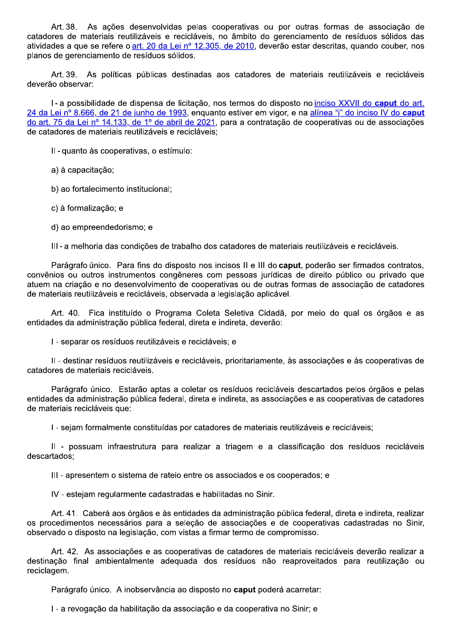As ações desenvolvidas pelas cooperativas ou por outras formas de associação de Art. 38. catadores de materiais reutilizáveis e recicláveis, no âmbito do gerenciamento de resíduos sólidos das atividades a que se refere o art. 20 da Lei nº 12.305, de 2010, deverão estar descritas, quando couber, nos planos de gerenciamento de resíduos sólidos.

Art 39. As políticas públicas destinadas aos catadores de materiais reutilizáveis e recicláveis deverão observar:

I-a possibilidade de dispensa de licitação, nos termos do disposto no inciso XXVII do caput do art. 24 da Lei nº 8.666, de 21 de junho de 1993, enquanto estiver em vigor, e na alínea "i" do inciso IV do caput do art. 75 da Lei nº 14.133, de 1º de abril de 2021, para a contratação de cooperativas ou de associações de catadores de materiais reutilizáveis e recicláveis:

II-quanto às cooperativas, o estímulo:

a) à capacitação;

b) ao fortalecimento institucional:

c) à formalização; e

d) ao empreendedorismo; e

III-a melhoria das condições de trabalho dos catadores de materiais reutilizáveis e recicláveis.

Parágrafo único. Para fins do disposto nos incisos II e III do caput, poderão ser firmados contratos, convênios ou outros instrumentos congêneres com pessoas jurídicas de direito público ou privado que atuem na criação e no desenvolvimento de cooperativas ou de outras formas de associação de catadores de materiais reutilizáveis e recicláveis, observada a legislação aplicável.

Art. 40. Fica instituído o Programa Coleta Seletiva Cidadã, por meio do qual os órgãos e as entidades da administração pública federal, direta e indireta, deverão:

I - separar os resíduos reutilizáveis e recicláveis; e

II - destinar resíduos reutilizáveis e recicláveis, prioritariamente, às associações e às cooperativas de catadores de materiais recicláveis.

Parágrafo único. Estarão aptas a coletar os resíduos recicláveis descartados pelos órgãos e pelas entidades da administração pública federal, direta e indireta, as associações e as cooperativas de catadores de materiais recicláveis que:

I - sejam formalmente constituídas por catadores de materiais reutilizáveis e recicláveis:

II - possuam infraestrutura para realizar a triagem e a classificação dos resíduos recicláveis descartados;

III - apresentem o sistema de rateio entre os associados e os cooperados; e

IV - estejam regularmente cadastradas e habilitadas no Sinir.

Art. 41. Caberá aos órgãos e às entidades da administração pública federal, direta e indireta, realizar os procedimentos necessários para a seleção de associações e de cooperativas cadastradas no Sinir, observado o disposto na legislação, com vistas a firmar termo de compromisso.

Art. 42. As associações e as cooperativas de catadores de materiais recicláveis deverão realizar a destinação final ambientalmente adeguada dos resíduos não reaproveitados para reutilização ou reciclagem.

Parágrafo único. A inobservância ao disposto no caput poderá acarretar:

I - a revogação da habilitação da associação e da cooperativa no Sinir; e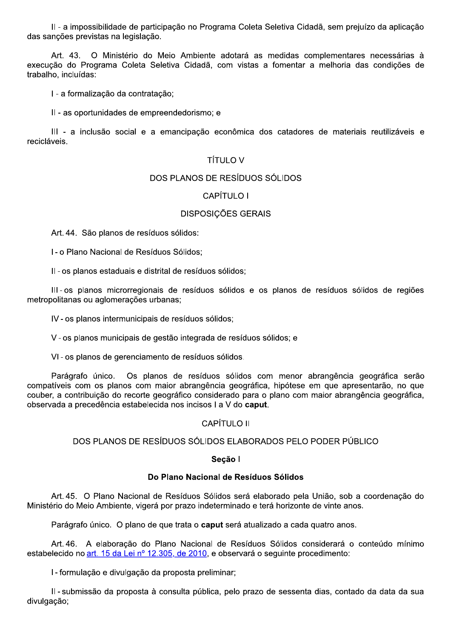II - a impossibilidade de participação no Programa Coleta Seletiva Cidadã, sem prejuízo da aplicação das sanções previstas na legislação.

Art. 43. O Ministério do Meio Ambiente adotará as medidas complementares necessárias à execução do Programa Coleta Seletiva Cidadã, com vistas a fomentar a melhoria das condições de trabalho. incluídas:

I - a formalização da contratação;

II - as oportunidades de empreendedorismo: e

III - a inclusão social e a emancipação econômica dos catadores de materiais reutilizáveis e recicláveis.

# **TÍTULO V**

# DOS PLANOS DE RESÍDUOS SÓLIDOS

# CAPÍTULO I

# **DISPOSICÕES GERAIS**

Art. 44. São planos de resíduos sólidos:

I - o Plano Nacional de Resíduos Sólidos;

II - os planos estaduais e distrital de resíduos sólidos;

III-os planos microrregionais de resíduos sólidos e os planos de resíduos sólidos de regiões metropolitanas ou aglomerações urbanas:

IV - os planos intermunicipais de resíduos sólidos;

V - os planos municipais de gestão integrada de resíduos sólidos: e

VI-os planos de gerenciamento de resíduos sólidos.

Os planos de resíduos sólidos com menor abrangência geográfica serão Parágrafo único. compatíveis com os planos com maior abrangência geográfica, hipótese em que apresentarão, no que couber, a contribuição do recorte geográfico considerado para o plano com maior abrangência geográfica, observada a precedência estabelecida nos incisos I a V do caput.

# CAPÍTULO II

# DOS PLANOS DE RESÍDUOS SÓLIDOS ELABORADOS PELO PODER PÚBLICO

#### Seção I

#### Do Plano Nacional de Resíduos Sólidos

Art. 45. O Plano Nacional de Resíduos Sólidos será elaborado pela União, sob a coordenação do Ministério do Meio Ambiente, vigerá por prazo indeterminado e terá horizonte de vinte anos.

Parágrafo único. O plano de que trata o caput será atualizado a cada quatro anos.

Art. 46. A elaboração do Plano Nacional de Resíduos Sólidos considerará o conteúdo mínimo estabelecido no art. 15 da Lei nº 12.305, de 2010, e observará o seguinte procedimento:

I - formulação e divulgação da proposta preliminar;

Il - submissão da proposta à consulta pública, pelo prazo de sessenta dias, contado da data da sua divulgação;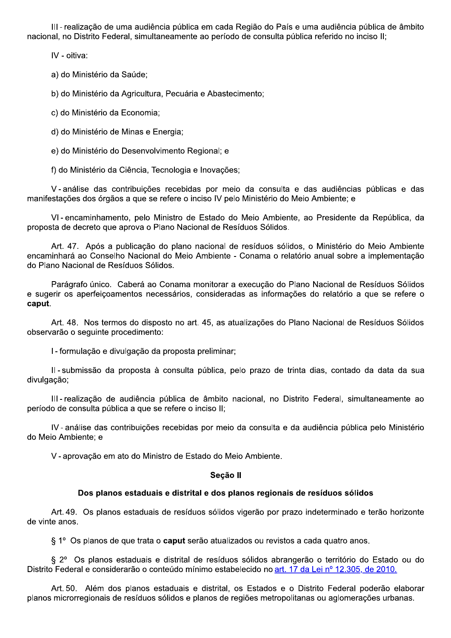III-realização de uma audiência pública em cada Região do País e uma audiência pública de âmbito nacional, no Distrito Federal, simultaneamente ao período de consulta pública referido no inciso II;

IV - oitiva:

a) do Ministério da Saúde;

b) do Ministério da Agricultura, Pecuária e Abastecimento;

c) do Ministério da Economia;

d) do Ministério de Minas e Energia;

e) do Ministério do Desenvolvimento Regional; e

f) do Ministério da Ciência, Tecnologia e Inovações;

V-análise das contribuições recebidas por meio da consulta e das audiências públicas e das manifestações dos órgãos a que se refere o inciso IV pelo Ministério do Meio Ambiente; e

VI-encaminhamento, pelo Ministro de Estado do Meio Ambiente, ao Presidente da República, da proposta de decreto que aprova o Plano Nacional de Resíduos Sólidos.

Art. 47. Após a publicação do plano nacional de resíduos sólidos, o Ministério do Meio Ambiente encaminhará ao Conselho Nacional do Meio Ambiente - Conama o relatório anual sobre a implementação do Plano Nacional de Resíduos Sólidos.

Parágrafo único. Caberá ao Conama monitorar a execução do Plano Nacional de Resíduos Sólidos e sugerir os aperfeiçoamentos necessários, consideradas as informações do relatório a que se refere o caput.

Art. 48. Nos termos do disposto no art. 45, as atualizações do Plano Nacional de Resíduos Sólidos observarão o seguinte procedimento:

I - formulação e divulgação da proposta preliminar;

Il - submissão da proposta à consulta pública, pelo prazo de trinta dias, contado da data da sua divulgação;

III-realização de audiência pública de âmbito nacional, no Distrito Federal, simultaneamente ao período de consulta pública a que se refere o inciso II;

IV-análise das contribuições recebidas por meio da consulta e da audiência pública pelo Ministério do Meio Ambiente: e

V - aprovação em ato do Ministro de Estado do Meio Ambiente.

#### Seção II

#### Dos planos estaduais e distrital e dos planos regionais de resíduos sólidos

Art. 49. Os planos estaduais de resíduos sólidos vigerão por prazo indeterminado e terão horizonte de vinte anos.

§ 1° Os planos de que trata o caput serão atualizados ou revistos a cada quatro anos.

§ 2° Os planos estaduais e distrital de resíduos sólidos abrangerão o território do Estado ou do Distrito Federal e considerarão o conteúdo mínimo estabelecido no art. 17 da Lei nº 12.305, de 2010.

Art. 50. Além dos planos estaduais e distrital, os Estados e o Distrito Federal poderão elaborar planos microrregionais de resíduos sólidos e planos de regiões metropolitanas ou aglomerações urbanas.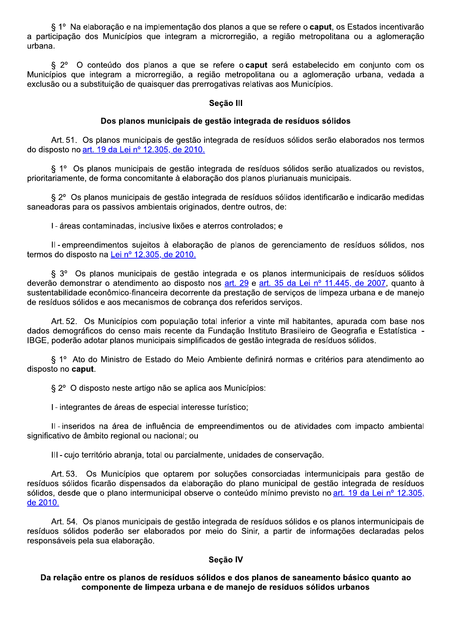§ 1º Na elaboração e na implementação dos planos a que se refere o caput, os Estados incentivarão a participação dos Municípios que integram a microrregião, a região metropolitana ou a aglomeração urbana.

O conteúdo dos planos a que se refere o caput será estabelecido em conjunto com os  $\S 2^{\circ}$ Municípios que integram a microrregião, a região metropolitana ou a aglomeração urbana, vedada a exclusão ou a substituição de quaisquer das prerrogativas relativas aos Municípios.

#### Seção III

#### Dos planos municipais de gestão integrada de resíduos sólidos

Art. 51. Os planos municipais de gestão integrada de resíduos sólidos serão elaborados nos termos do disposto no art. 19 da Lei nº 12.305, de 2010.

§ 1º Os planos municipais de gestão integrada de resíduos sólidos serão atualizados ou revistos, prioritariamente, de forma concomitante à elaboração dos planos plurianuais municipais.

§ 2º Os planos municipais de gestão integrada de resíduos sólidos identificarão e indicarão medidas saneadoras para os passivos ambientais originados, dentre outros, de:

I - áreas contaminadas, inclusive lixões e aterros controlados; e

II-empreendimentos sujeitos à elaboração de planos de gerenciamento de resíduos sólidos, nos termos do disposto na Lei nº 12.305, de 2010.

§ 3º Os planos municipais de gestão integrada e os planos intermunicipais de resíduos sólidos deverão demonstrar o atendimento ao disposto nos art. 29 e art. 35 da Lei nº 11.445, de 2007, quanto à sustentabilidade econômico-financeira decorrente da prestação de serviços de limpeza urbana e de manejo de resíduos sólidos e aos mecanismos de cobrança dos referidos serviços.

Art. 52. Os Municípios com população total inferior a vinte mil habitantes, apurada com base nos dados demográficos do censo mais recente da Fundação Instituto Brasileiro de Geografia e Estatística -IBGE, poderão adotar planos municipais simplificados de gestão integrada de resíduos sólidos.

§ 1º Ato do Ministro de Estado do Meio Ambiente definirá normas e critérios para atendimento ao disposto no caput.

§ 2° O disposto neste artigo não se aplica aos Municípios:

I - integrantes de áreas de especial interesse turístico;

Il - inseridos na área de influência de empreendimentos ou de atividades com impacto ambiental significativo de âmbito regional ou nacional; ou

III-cujo território abrania, total ou parcialmente, unidades de conservação.

Art. 53. Os Municípios que optarem por soluções consorciadas intermunicipais para gestão de resíduos sólidos ficarão dispensados da elaboração do plano municipal de gestão integrada de resíduos sólidos, desde que o plano intermunicipal observe o conteúdo mínimo previsto no art. 19 da Lei nº 12.305, de 2010.

Art. 54. Os planos municipais de gestão integrada de resíduos sólidos e os planos intermunicipais de resíduos sólidos poderão ser elaborados por meio do Sinir, a partir de informações declaradas pelos responsáveis pela sua elaboração.

#### Secão IV

#### Da relação entre os planos de resíduos sólidos e dos planos de saneamento básico quanto ao componente de limpeza urbana e de manejo de resíduos sólidos urbanos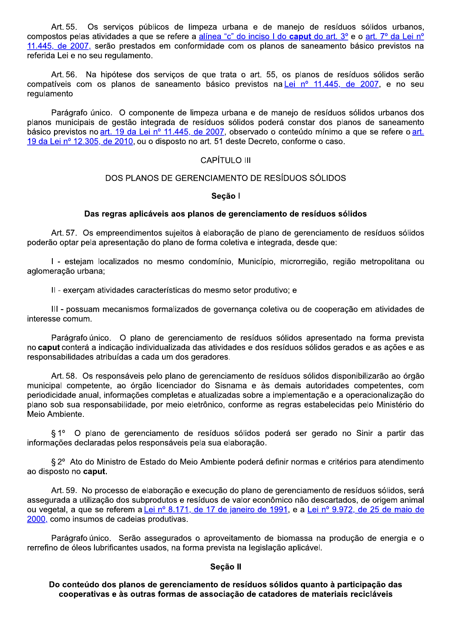Os serviços públicos de limpeza urbana e de manejo de resíduos sólidos urbanos, Art. 55. compostos pelas atividades a que se refere a alínea "c" do inciso I do caput do art. 3º e o art. 7º da Lei nº 11.445, de 2007, serão prestados em conformidade com os planos de saneamento básico previstos na referida Lei e no seu regulamento.

Art 56. Na hipótese dos servicos de que trata o art. 55, os planos de resíduos sólidos serão compatíveis com os planos de saneamento básico previstos na Lei nº 11.445, de 2007, e no seu regulamento

Parágrafo único. O componente de limpeza urbana e de manejo de resíduos sólidos urbanos dos planos municipais de gestão integrada de resíduos sólidos poderá constar dos planos de saneamento básico previstos no art. 19 da Lei nº 11.445, de 2007, observado o conteúdo mínimo a que se refere o art. 19 da Lei nº 12.305, de 2010, ou o disposto no art. 51 deste Decreto, conforme o caso.

### **CAPÍTULO III**

#### DOS PLANOS DE GERENCIAMENTO DE RESÍDUOS SÓLIDOS

#### Secão I

#### Das regras aplicáveis aos planos de gerenciamento de resíduos sólidos

Art. 57. Os empreendimentos sujeitos à elaboração de plano de gerenciamento de resíduos sólidos poderão optar pela apresentação do plano de forma coletiva e integrada, desde que:

I - estejam localizados no mesmo condomínio. Município, microrregião, região metropolitana ou aglomeração urbana;

II - exerçam atividades características do mesmo setor produtivo; e

III - possuam mecanismos formalizados de governança coletiva ou de cooperação em atividades de interesse comum.

Parágrafo único. O plano de gerenciamento de resíduos sólidos apresentado na forma prevista no caput conterá a indicação individualizada das atividades e dos resíduos sólidos gerados e as ações e as responsabilidades atribuídas a cada um dos geradores.

Art. 58. Os responsáveis pelo plano de gerenciamento de resíduos sólidos disponibilizarão ao órgão municipal competente, ao órgão licenciador do Sisnama e às demais autoridades competentes, com periodicidade anual, informações completas e atualizadas sobre a implementação e a operacionalização do plano sob sua responsabilidade, por meio eletrônico, conforme as regras estabelecidas pelo Ministério do Meio Ambiente.

§ 1º O plano de gerenciamento de resíduos sólidos poderá ser gerado no Sinir a partir das informações declaradas pelos responsáveis pela sua elaboração.

§ 2° Ato do Ministro de Estado do Meio Ambiente poderá definir normas e critérios para atendimento ao disposto no caput.

Art. 59. No processo de elaboração e execução do plano de gerenciamento de resíduos sólidos, será assegurada a utilização dos subprodutos e resíduos de valor econômico não descartados, de origem animal ou vegetal, a que se referem a Lei nº 8.171, de 17 de janeiro de 1991, e a Lei nº 9.972, de 25 de maio de 2000, como insumos de cadeias produtivas.

Parágrafo único. Serão assegurados o aproveitamento de biomassa na produção de energia e o rerrefino de óleos lubrificantes usados, na forma prevista na legislação aplicável.

#### Seção II

Do conteúdo dos planos de gerenciamento de resíduos sólidos quanto à participação das cooperativas e às outras formas de associação de catadores de materiais recicláveis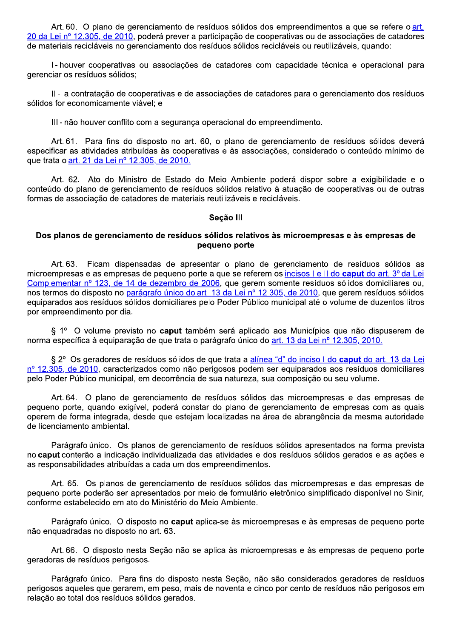Art. 60. O plano de gerenciamento de resíduos sólidos dos empreendimentos a que se refere o art. 20 da Lei nº 12.305, de 2010, poderá prever a participação de cooperativas ou de associações de catadores de materiais recicláveis no gerenciamento dos resíduos sólidos recicláveis ou reutilizáveis, quando:

I-houver cooperativas ou associações de catadores com capacidade técnica e operacional para gerenciar os resíduos sólidos;

II - a contratação de cooperativas e de associações de catadores para o gerenciamento dos resíduos sólidos for economicamente viável; e

III-não houver conflito com a segurança operacional do empreendimento.

Art. 61. Para fins do disposto no art. 60, o plano de gerenciamento de resíduos sólidos deverá especificar as atividades atribuídas às cooperativas e às associações, considerado o conteúdo mínimo de que trata o art. 21 da Lei nº 12.305, de 2010.

Art. 62. Ato do Ministro de Estado do Meio Ambiente poderá dispor sobre a exigibilidade e o conteúdo do plano de gerenciamento de resíduos sólidos relativo à atuação de cooperativas ou de outras formas de associação de catadores de materiais reutilizáveis e recicláveis.

#### Seção III

#### Dos planos de gerenciamento de resíduos sólidos relativos às microempresas e às empresas de pequeno porte

Art. 63. Ficam dispensadas de apresentar o plano de gerenciamento de resíduos sólidos as microempresas e as empresas de pequeno porte a que se referem os incisos I e II do caput do art. 3º da Lei Complementar nº 123, de 14 de dezembro de 2006, que gerem somente resíduos sólidos domiciliares ou, nos termos do disposto no parágrafo único do art. 13 da Lei nº 12.305, de 2010, que gerem resíduos sólidos equiparados aos resíduos sólidos domiciliares pelo Poder Público municipal até o volume de duzentos litros por empreendimento por dia.

§ 1º O volume previsto no caput também será aplicado aos Municípios que não dispuserem de norma específica à equiparação de que trata o parágrafo único do art. 13 da Lei nº 12.305, 2010.

§ 2° Os geradores de resíduos sólidos de que trata a alínea "d" do inciso I do caput do art. 13 da Lei nº 12.305, de 2010, caracterizados como não perigosos podem ser equiparados aos resíduos domiciliares pelo Poder Público municipal, em decorrência de sua natureza, sua composição ou seu volume.

Art. 64. O plano de gerenciamento de resíduos sólidos das microempresas e das empresas de pequeno porte, quando exigível, poderá constar do plano de gerenciamento de empresas com as quais operem de forma integrada, desde que estejam localizadas na área de abrangência da mesma autoridade de licenciamento ambiental.

Parágrafo único. Os planos de gerenciamento de resíduos sólidos apresentados na forma prevista no caput conterão a indicação individualizada das atividades e dos resíduos sólidos gerados e as ações e as responsabilidades atribuídas a cada um dos empreendimentos.

Art. 65. Os planos de gerenciamento de resíduos sólidos das microempresas e das empresas de pequeno porte poderão ser apresentados por meio de formulário eletrônico simplificado disponível no Sinir, conforme estabelecido em ato do Ministério do Meio Ambiente.

Parágrafo único. O disposto no caput aplica-se às microempresas e às empresas de pequeno porte não enquadradas no disposto no art. 63.

Art. 66. O disposto nesta Seção não se aplica às microempresas e às empresas de pequeno porte geradoras de resíduos perigosos.

Parágrafo único. Para fins do disposto nesta Seção, não são considerados geradores de resíduos perigosos aqueles que gerarem, em peso, mais de noventa e cinco por cento de resíduos não perigosos em relação ao total dos resíduos sólidos gerados.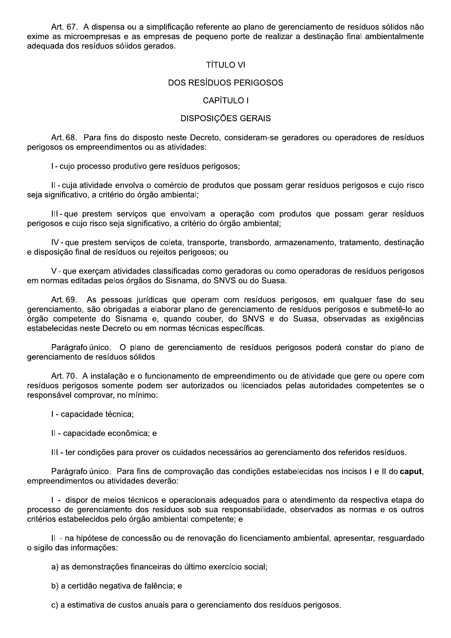Art. 67. A dispensa ou a simplificação referente ao plano de gerenciamento de resíduos sólidos não exime as microempresas e as empresas de pequeno porte de realizar a destinação final ambientalmente adequada dos resíduos sólidos gerados.

### **TÍTULO VI**

#### **DOS RESÍDUOS PERIGOSOS**

#### CAPÍTULO I

#### **DISPOSIÇÕES GERAIS**

Art. 68. Para fins do disposto neste Decreto, consideram-se geradores ou operadores de resíduos perigosos os empreendimentos ou as atividades:

I - cujo processo produtivo gere resíduos perigosos;

Il - cuja atividade envolva o comércio de produtos que possam gerar resíduos perigosos e cujo risco seja significativo, a critério do órgão ambiental;

III-que prestem serviços que envolvam a operação com produtos que possam gerar resíduos perigosos e cujo risco seja significativo, a critério do órgão ambiental;

IV-que prestem serviços de coleta, transporte, transbordo, armazenamento, tratamento, destinação e disposição final de resíduos ou rejeitos perigosos; ou

V - que exerçam atividades classificadas como geradoras ou como operadoras de resíduos perigosos em normas editadas pelos órgãos do Sisnama, do SNVS ou do Suasa.

Art. 69. As pessoas jurídicas que operam com resíduos perigosos, em qualquer fase do seu gerenciamento, são obrigadas a elaborar plano de gerenciamento de resíduos perigosos e submetê-lo ao órgão competente do Sisnama e, quando couber, do SNVS e do Suasa, observadas as exigências estabelecidas neste Decreto ou em normas técnicas específicas.

Parágrafo único. O plano de gerenciamento de resíduos perigosos poderá constar do plano de gerenciamento de resíduos sólidos.

Art. 70. A instalação e o funcionamento de empreendimento ou de atividade que gere ou opere com resíduos perigosos somente podem ser autorizados ou licenciados pelas autoridades competentes se o responsável comprovar, no mínimo:

- I capacidade técnica;
- II capacidade econômica; e

III - ter condições para prover os cuidados necessários ao gerenciamento dos referidos resíduos.

Parágrafo único. Para fins de comprovação das condições estabelecidas nos incisos I e II do caput, empreendimentos ou atividades deverão:

I - dispor de meios técnicos e operacionais adequados para o atendimento da respectiva etapa do processo de gerenciamento dos resíduos sob sua responsabilidade, observados as normas e os outros critérios estabelecidos pelo órgão ambiental competente: e

II - na hipótese de concessão ou de renovação do licenciamento ambiental, apresentar, resquardado o sigilo das informações:

a) as demonstrações financeiras do último exercício social;

b) a certidão negativa de falência; e

c) a estimativa de custos anuais para o gerenciamento dos resíduos perigosos.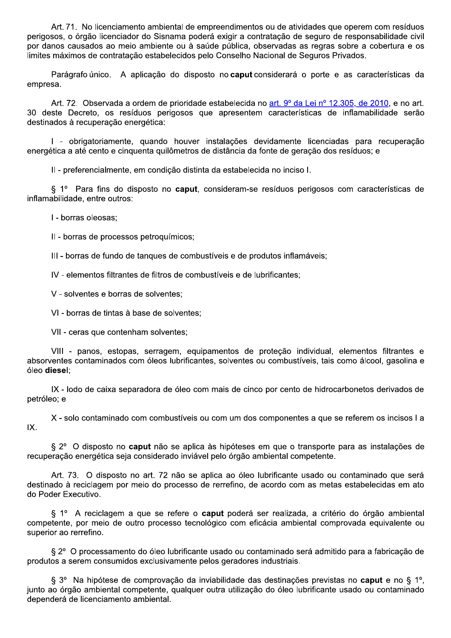Art. 71. No licenciamento ambiental de empreendimentos ou de atividades que operem com resíduos perigosos, o órgão licenciador do Sisnama poderá exigir a contratação de seguro de responsabilidade civil por danos causados ao meio ambiente ou à saúde pública, observadas as regras sobre a cobertura e os limites máximos de contratação estabelecidos pelo Conselho Nacional de Seguros Privados.

Parágrafo único. A aplicação do disposto no **caput** considerará o porte e as características da empresa.

Art. 72. Observada a ordem de prioridade estabelecida no art. 9º da Lei nº 12.305, de 2010, e no art. 30 deste Decreto, os resíduos perigosos que apresentem características de inflamabilidade serão destinados à recuperação energética:

I - obrigatoriamente, quando houver instalações devidamente licenciadas para recuperação energética a até cento e cinquenta quilômetros de distância da fonte de geração dos resíduos; e

II - preferencialmente, em condição distinta da estabelecida no inciso I.

§ 1º Para fins do disposto no **caput**, consideram-se resíduos perigosos com características de inflamabilidade, entre outros:

I - borras oleosas;

II - borras de processos petroquímicos:

III - borras de fundo de tanques de combustíveis e de produtos inflamáveis:

IV - elementos filtrantes de filtros de combustíveis e de lubrificantes:

V - solventes e borras de solventes:

VI - borras de tintas à base de solventes:

VII - ceras que contenham solventes:

VIII - panos, estopas, serragem, equipamentos de proteção individual, elementos filtrantes e absorventes contaminados com óleos lubrificantes, solventes ou combustíveis, tais como álcool, gasolina e óleo diesel:

IX - lodo de caixa separadora de óleo com mais de cinco por cento de hidrocarbonetos derivados de petróleo; e

X - solo contaminado com combustíveis ou com um dos componentes a que se referem os incisos I a IX.

§ 2° O disposto no **caput** não se aplica às hipóteses em que o transporte para as instalações de recuperação energética seja considerado inviável pelo órgão ambiental competente.

Art. 73. O disposto no art. 72 não se aplica ao óleo lubrificante usado ou contaminado que será destinado à reciclagem por meio do processo de rerrefino, de acordo com as metas estabelecidas em ato do Poder Executivo.

§ 1º A reciclagem a que se refere o caput poderá ser realizada, a critério do órgão ambiental competente, por meio de outro processo tecnológico com eficácia ambiental comprovada equivalente ou superior ao rerrefino.

§ 2º O processamento do óleo lubrificante usado ou contaminado será admitido para a fabricação de produtos a serem consumidos exclusivamente pelos geradores industriais.

§ 3° Na hipótese de comprovação da inviabilidade das destinações previstas no caput e no § 1°, junto ao órgão ambiental competente, qualquer outra utilização do óleo lubrificante usado ou contaminado dependerá de licenciamento ambiental.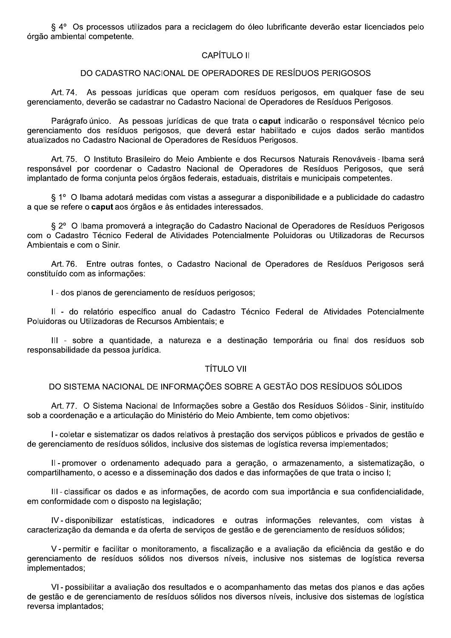§ 4º Os processos utilizados para a reciclagem do óleo lubrificante deverão estar licenciados pelo órgão ambiental competente.

# **CAPÍTULO II**

#### DO CADASTRO NACIONAL DE OPERADORES DE RESÍDUOS PERIGOSOS

Art. 74. As pessoas jurídicas que operam com resíduos perigosos, em qualquer fase de seu gerenciamento, deverão se cadastrar no Cadastro Nacional de Operadores de Resíduos Perigosos.

Parágrafo único. As pessoas jurídicas de que trata o caput indicarão o responsável técnico pelo gerenciamento dos resíduos perigosos, que deverá estar habilitado e cujos dados serão mantidos atualizados no Cadastro Nacional de Operadores de Resíduos Perigosos.

Art. 75. O Instituto Brasileiro do Meio Ambiente e dos Recursos Naturais Renováveis - Ibama será responsável por coordenar o Cadastro Nacional de Operadores de Resíduos Perigosos, que será implantado de forma conjunta pelos órgãos federais, estaduais, distritais e municipais competentes.

§ 1º O Ibama adotará medidas com vistas a assegurar a disponibilidade e a publicidade do cadastro a que se refere o caput aos órgãos e às entidades interessados.

§ 2º O Ibama promoverá a integração do Cadastro Nacional de Operadores de Resíduos Perigosos com o Cadastro Técnico Federal de Atividades Potencialmente Poluidoras ou Utilizadoras de Recursos Ambientais e com o Sinir.

Art. 76. Entre outras fontes, o Cadastro Nacional de Operadores de Resíduos Perigosos será constituído com as informações:

I - dos planos de gerenciamento de resíduos perigosos;

Il - do relatório específico anual do Cadastro Técnico Federal de Atividades Potencialmente Poluidoras ou Utilizadoras de Recursos Ambientais: e

III - sobre a quantidade, a natureza e a destinação temporária ou final dos resíduos sob responsabilidade da pessoa jurídica.

#### **TÍTULO VII**

# DO SISTEMA NACIONAL DE INFORMAÇÕES SOBRE A GESTÃO DOS RESÍDUOS SÓLIDOS

Art. 77. O Sistema Nacional de Informações sobre a Gestão dos Resíduos Sólidos - Sinir, instituído sob a coordenação e a articulação do Ministério do Meio Ambiente, tem como objetivos:

I - coletar e sistematizar os dados relativos à prestação dos serviços públicos e privados de gestão e de gerenciamento de resíduos sólidos, inclusive dos sistemas de logística reversa implementados:

II-promover o ordenamento adequado para a geração, o armazenamento, a sistematização, o compartilhamento, o acesso e a disseminação dos dados e das informações de que trata o inciso I;

III-classificar os dados e as informações, de acordo com sua importância e sua confidencialidade, em conformidade com o disposto na legislação;

IV-disponibilizar estatísticas, indicadores e outras informações relevantes, com vistas à caracterização da demanda e da oferta de serviços de gestão e de gerenciamento de resíduos sólidos;

V-permitir e facilitar o monitoramento, a fiscalização e a avaliação da eficiência da gestão e do gerenciamento de resíduos sólidos nos diversos níveis, inclusive nos sistemas de logística reversa implementados;

VI-possibilitar a avaliação dos resultados e o acompanhamento das metas dos planos e das ações de gestão e de gerenciamento de resíduos sólidos nos diversos níveis, inclusive dos sistemas de logística reversa implantados;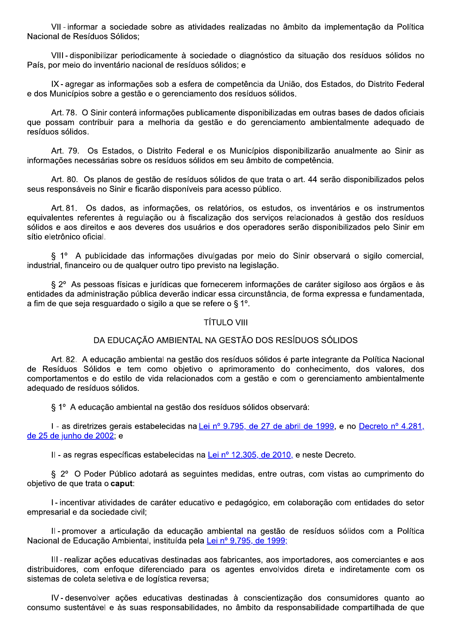VII-informar a sociedade sobre as atividades realizadas no âmbito da implementação da Política Nacional de Resíduos Sólidos:

VIII-disponibilizar periodicamente à sociedade o diagnóstico da situação dos resíduos sólidos no País, por meio do inventário nacional de resíduos sólidos; e

IX-agregar as informações sob a esfera de competência da União, dos Estados, do Distrito Federal e dos Municípios sobre a gestão e o gerenciamento dos resíduos sólidos.

Art. 78. O Sinir conterá informações publicamente disponibilizadas em outras bases de dados oficiais que possam contribuir para a melhoria da gestão e do gerenciamento ambientalmente adequado de resíduos sólidos.

Art. 79. Os Estados, o Distrito Federal e os Municípios disponibilizarão anualmente ao Sinir as informações necessárias sobre os resíduos sólidos em seu âmbito de competência.

Art. 80. Os planos de gestão de resíduos sólidos de que trata o art. 44 serão disponibilizados pelos seus responsáveis no Sinir e ficarão disponíveis para acesso público.

Art. 81. Os dados, as informações, os relatórios, os estudos, os inventários e os instrumentos equivalentes referentes à regulação ou à fiscalização dos serviços relacionados à gestão dos resíduos sólidos e aos direitos e aos deveres dos usuários e dos operadores serão disponibilizados pelo Sinir em sítio eletrônico oficial.

§ 1º A publicidade das informações divulgadas por meio do Sinir observará o sigilo comercial, industrial, financeiro ou de qualquer outro tipo previsto na legislação.

§ 2° As pessoas físicas e jurídicas que fornecerem informações de caráter sigiloso aos órgãos e às entidades da administração pública deverão indicar essa circunstância, de forma expressa e fundamentada, a fim de que seja resquardado o sigilo a que se refere o § 1°.

# **TÍTULO VIII**

# DA EDUCAÇÃO AMBIENTAL NA GESTÃO DOS RESÍDUOS SÓLIDOS

Art. 82. A educação ambiental na gestão dos resíduos sólidos é parte integrante da Política Nacional de Resíduos Sólidos e tem como objetivo o aprimoramento do conhecimento, dos valores, dos comportamentos e do estilo de vida relacionados com a gestão e com o gerenciamento ambientalmente adequado de resíduos sólidos.

§ 1º A educação ambiental na gestão dos resíduos sólidos observará:

I - as diretrizes gerais estabelecidas na Lei nº 9.795, de 27 de abril de 1999, e no Decreto nº 4.281, de 25 de junho de 2002; e

II - as regras específicas estabelecidas na Lei nº 12.305, de 2010, e neste Decreto.

§ 2° O Poder Público adotará as seguintes medidas, entre outras, com vistas ao cumprimento do objetivo de que trata o caput:

I - incentivar atividades de caráter educativo e pedagógico, em colaboração com entidades do setor empresarial e da sociedade civil;

Il - promover a articulação da educação ambiental na gestão de resíduos sólidos com a Política Nacional de Educação Ambiental, instituída pela Lei nº 9.795, de 1999;

III-realizar acões educativas destinadas aos fabricantes, aos importadores, aos comerciantes e aos distribuidores, com enfoque diferenciado para os agentes envolvidos direta e indiretamente com os sistemas de coleta seletiva e de logística reversa;

IV-desenvolver ações educativas destinadas à conscientização dos consumidores quanto ao consumo sustentável e às suas responsabilidades, no âmbito da responsabilidade compartilhada de que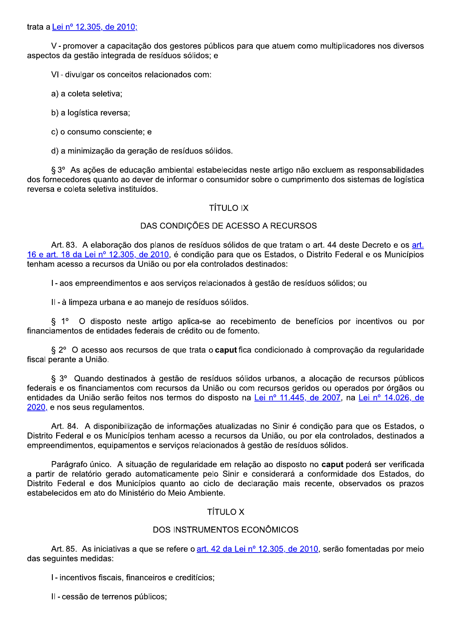trata a Lei nº 12.305, de 2010;

V - promover a capacitação dos gestores públicos para que atuem como multiplicadores nos diversos aspectos da gestão integrada de resíduos sólidos: e

VI - divulgar os conceitos relacionados com:

a) a coleta seletiva;

b) a logística reversa;

c) o consumo consciente; e

d) a minimização da geração de resíduos sólidos.

§ 3° As ações de educação ambiental estabelecidas neste artigo não excluem as responsabilidades dos fornecedores quanto ao dever de informar o consumidor sobre o cumprimento dos sistemas de logística reversa e coleta seletiva instituídos.

### **TÍTULO IX**

### DAS CONDIÇÕES DE ACESSO A RECURSOS

Art. 83. A elaboração dos planos de resíduos sólidos de que tratam o art. 44 deste Decreto e os art. 16 e art. 18 da Lei nº 12.305, de 2010, é condição para que os Estados, o Distrito Federal e os Municípios tenham acesso a recursos da União ou por ela controlados destinados:

I - aos empreendimentos e aos serviços relacionados à gestão de resíduos sólidos; ou

II-à limpeza urbana e ao manejo de resíduos sólidos.

§ 1º O disposto neste artigo aplica-se ao recebimento de benefícios por incentivos ou por financiamentos de entidades federais de crédito ou de fomento.

§ 2º O acesso aos recursos de que trata o caput fica condicionado à comprovação da regularidade fiscal perante a União.

§ 3º Quando destinados à gestão de resíduos sólidos urbanos, a alocação de recursos públicos federais e os financiamentos com recursos da União ou com recursos geridos ou operados por órgãos ou entidades da União serão feitos nos termos do disposto na Lei nº 11.445, de 2007, na Lei nº 14.026, de 2020, e nos seus regulamentos.

Art. 84. A disponibilização de informações atualizadas no Sinir é condição para que os Estados, o Distrito Federal e os Municípios tenham acesso a recursos da União, ou por ela controlados, destinados a empreendimentos, equipamentos e serviços relacionados à gestão de resíduos sólidos.

Parágrafo único. A situação de regularidade em relação ao disposto no caput poderá ser verificada a partir de relatório gerado automaticamente pelo Sinir e considerará a conformidade dos Estados, do Distrito Federal e dos Municípios quanto ao ciclo de declaração mais recente, observados os prazos estabelecidos em ato do Ministério do Meio Ambiente.

# **TÍTULO X**

# DOS INSTRUMENTOS ECONÔMICOS

Art. 85. As iniciativas a que se refere o art. 42 da Lei nº 12.305, de 2010, serão fomentadas por meio das seguintes medidas:

I - incentivos fiscais, financeiros e creditícios;

II - cessão de terrenos públicos;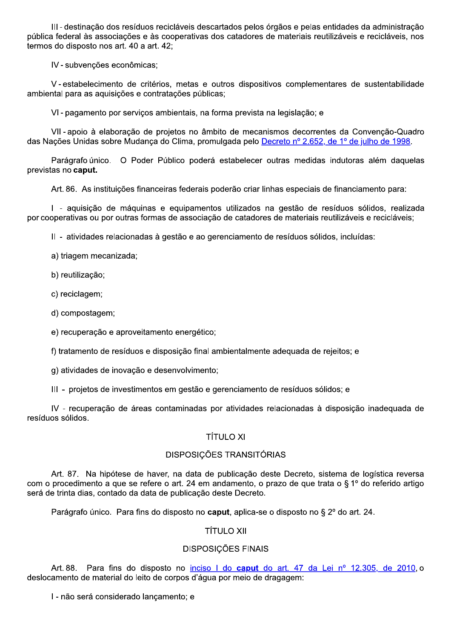III-destinação dos resíduos recicláveis descartados pelos órgãos e pelas entidades da administração pública federal às associações e às cooperativas dos catadores de materiais reutilizáveis e recicláveis, nos termos do disposto nos art. 40 a art. 42;

IV - subvencões econômicas:

V-estabelecimento de critérios, metas e outros dispositivos complementares de sustentabilidade ambiental para as aquisições e contratações públicas;

VI - pagamento por servicos ambientais, na forma prevista na legislação; e

VII-apoio à elaboração de projetos no âmbito de mecanismos decorrentes da Convenção-Quadro das Nações Unidas sobre Mudança do Clima, promulgada pelo Decreto nº 2.652, de 1º de julho de 1998.

Parágrafo único. O Poder Público poderá estabelecer outras medidas indutoras além daquelas previstas no caput.

Art. 86. As instituições financeiras federais poderão criar linhas especiais de financiamento para:

I - aquisição de máquinas e equipamentos utilizados na gestão de resíduos sólidos, realizada por cooperativas ou por outras formas de associação de catadores de materiais reutilizáveis e recicláveis;

II - atividades relacionadas à gestão e ao gerenciamento de resíduos sólidos, incluídas:

a) triagem mecanizada;

b) reutilização;

c) reciclagem;

d) compostagem;

e) recuperação e aproveitamento energético;

f) tratamento de resíduos e disposição final ambientalmente adequada de rejeitos; e

g) atividades de inovação e desenvolvimento:

III - projetos de investimentos em gestão e gerenciamento de resíduos sólidos; e

IV - recuperação de áreas contaminadas por atividades relacionadas à disposição inadequada de resíduos sólidos.

# **TÍTULO XI**

# DISPOSIÇÕES TRANSITÓRIAS

Art. 87. Na hipótese de haver, na data de publicação deste Decreto, sistema de logística reversa com o procedimento a que se refere o art. 24 em andamento, o prazo de que trata o § 1º do referido artigo será de trinta dias, contado da data de publicação deste Decreto.

Parágrafo único. Para fins do disposto no caput, aplica-se o disposto no § 2° do art. 24.

# **TÍTULO XII**

# **DISPOSIÇÕES FINAIS**

Para fins do disposto no inciso I do caput do art. 47 da Lei nº 12.305, de 2010, o Art. 88. deslocamento de material do leito de corpos d'água por meio de dragagem:

I - não será considerado lançamento; e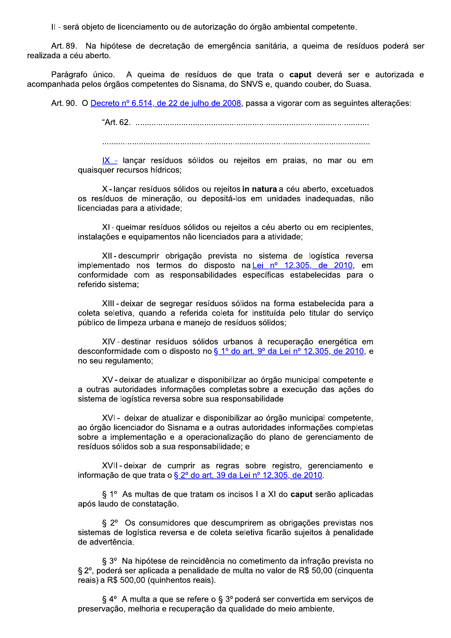II - será objeto de licenciamento ou de autorização do órgão ambiental competente.

Art. 89. Na hipótese de decretação de emergência sanitária, a queima de resíduos poderá ser realizada a céu aberto.

Parágrafo único. A queima de resíduos de que trata o caput deverá ser e autorizada e acompanhada pelos órgãos competentes do Sisnama, do SNVS e, quando couber, do Suasa.

Art. 90. O Decreto nº 6.514, de 22 de julho de 2008, passa a vigorar com as seguintes alterações:

IX - lançar resíduos sólidos ou rejeitos em praias, no mar ou em quaisquer recursos hídricos;

X - lancar resíduos sólidos ou reieitos in natura a céu aberto, excetuados os resíduos de mineração, ou depositá-los em unidades inadequadas, não licenciadas para a atividade;

XI-queimar resíduos sólidos ou rejeitos a céu aberto ou em recipientes, instalações e equipamentos não licenciados para a atividade:

XII-descumprir obrigação prevista no sistema de logística reversa implementado nos termos do disposto na Lei nº 12.305, de 2010, em conformidade com as responsabilidades específicas estabelecidas para o referido sistema;

XIII-deixar de segregar resíduos sólidos na forma estabelecida para a coleta seletiva, quando a referida coleta for instituída pelo titular do serviço público de limpeza urbana e manejo de resíduos sólidos;

XIV-destinar resíduos sólidos urbanos à recuperação energética em desconformidade com o disposto no § 1º do art. 9º da Lei nº 12.305, de 2010, e no seu regulamento;

XV-deixar de atualizar e disponibilizar ao órgão municipal competente e a outras autoridades informações completas sobre a execução das ações do sistema de logística reversa sobre sua responsabilidade

XVI- deixar de atualizar e disponibilizar ao órgão municipal competente, ao órgão licenciador do Sisnama e a outras autoridades informações completas sobre a implementação e a operacionalização do plano de gerenciamento de resíduos sólidos sob a sua responsabilidade; e

XVII-deixar de cumprir as regras sobre registro, gerenciamento e informação de que trata o § 2º do art. 39 da Lei nº 12.305, de 2010.

§ 1º As multas de que tratam os incisos I a XI do caput serão aplicadas após laudo de constatação.

§ 2° Os consumidores que descumprirem as obrigações previstas nos sistemas de logística reversa e de coleta seletiva ficarão sujeitos à penalidade de advertência.

§ 3º Na hipótese de reincidência no cometimento da infração prevista no § 2º, poderá ser aplicada a penalidade de multa no valor de R\$ 50,00 (cinquenta reais) a R\$ 500,00 (quinhentos reais).

§ 4° A multa a que se refere o § 3° poderá ser convertida em serviços de preservação, melhoria e recuperação da qualidade do meio ambiente.